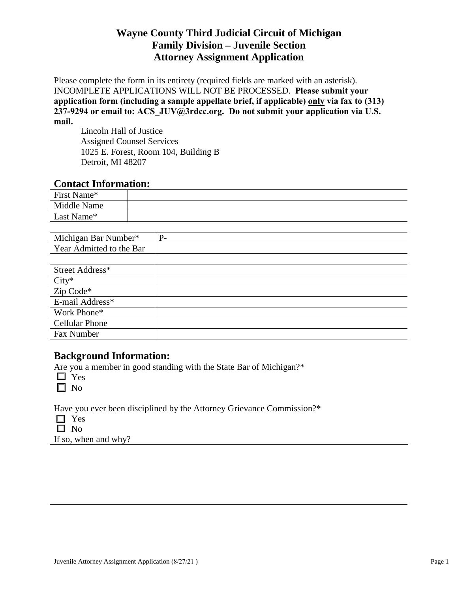Please complete the form in its entirety (required fields are marked with an asterisk). INCOMPLETE APPLICATIONS WILL NOT BE PROCESSED. **Please submit your application form (including a sample appellate brief, if applicable) only via fax to (313) 237-9294 or email to: ACS\_JUV@3rdcc.org. Do not submit your application via U.S. mail.**

Lincoln Hall of Justice Assigned Counsel Services 1025 E. Forest, Room 104, Building B Detroit, MI 48207

#### **Contact Information:**

| First Name* |  |
|-------------|--|
| Middle Name |  |
| Last Name*  |  |

| Michigan<br>Number*<br>Bar               | $\overline{\phantom{0}}$ |
|------------------------------------------|--------------------------|
| Year<br>- Admitted *<br>Bar<br>the<br>TΩ |                          |

| Street Address* |  |
|-----------------|--|
| $City^*$        |  |
| Zip Code*       |  |
| E-mail Address* |  |
| Work Phone*     |  |
| Cellular Phone  |  |
| Fax Number      |  |

#### **Background Information:**

Are you a member in good standing with the State Bar of Michigan?\*

 $\Box$  Yes

 $\Box$  No

Have you ever been disciplined by the Attorney Grievance Commission?\*

- Yes
- $\square$  No

If so, when and why?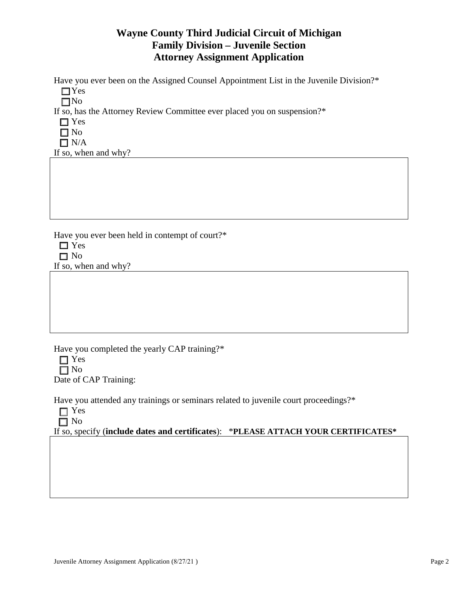Have you ever been on the Assigned Counsel Appointment List in the Juvenile Division?\*

 $\Box$  Yes

 $\square$ No

If so, has the Attorney Review Committee ever placed you on suspension?\*

- □ Yes
- $\Box$  No
- $\Box$  N/A

If so, when and why?

Have you ever been held in contempt of court?\*

- Yes
- $\Box$  No

If so, when and why?

Have you completed the yearly CAP training?\*

□ Yes  $\Box$  No Date of CAP Training:

Have you attended any trainings or seminars related to juvenile court proceedings?\*

□ Yes  $\Box$  No

If so, specify (**include dates and certificates**): \***PLEASE ATTACH YOUR CERTIFICATES\***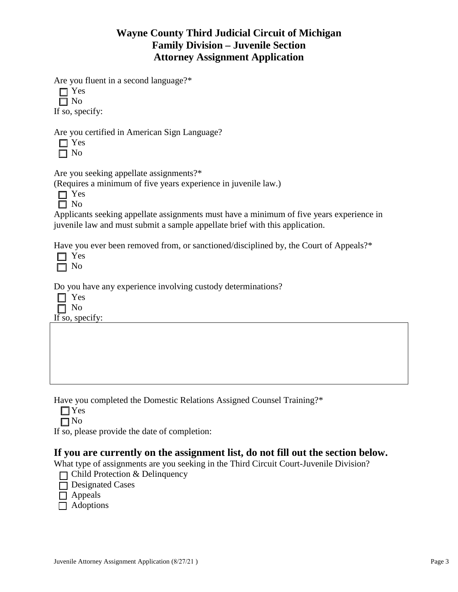Are you fluent in a second language?\*

□ Yes □ No If so, specify:

Are you certified in American Sign Language?

 $\Box$  Yes  $\Box$  No

Are you seeking appellate assignments?\*

(Requires a minimum of five years experience in juvenile law.)

Applicants seeking appellate assignments must have a minimum of five years experience in juvenile law and must submit a sample appellate brief with this application.

Have you ever been removed from, or sanctioned/disciplined by, the Court of Appeals?\*

Do you have any experience involving custody determinations?

□ Yes

No If so, specify:

Have you completed the Domestic Relations Assigned Counsel Training?\*

|  | w<br>۰. |
|--|---------|
|--|---------|

 $\n **7** No$ 

If so, please provide the date of completion:

### **If you are currently on the assignment list, do not fill out the section below.**

What type of assignments are you seeking in the Third Circuit Court-Juvenile Division?

- $\Box$  Child Protection & Delinquency
- □ Designated Cases
- □ Appeals
- $\Box$  Adoptions